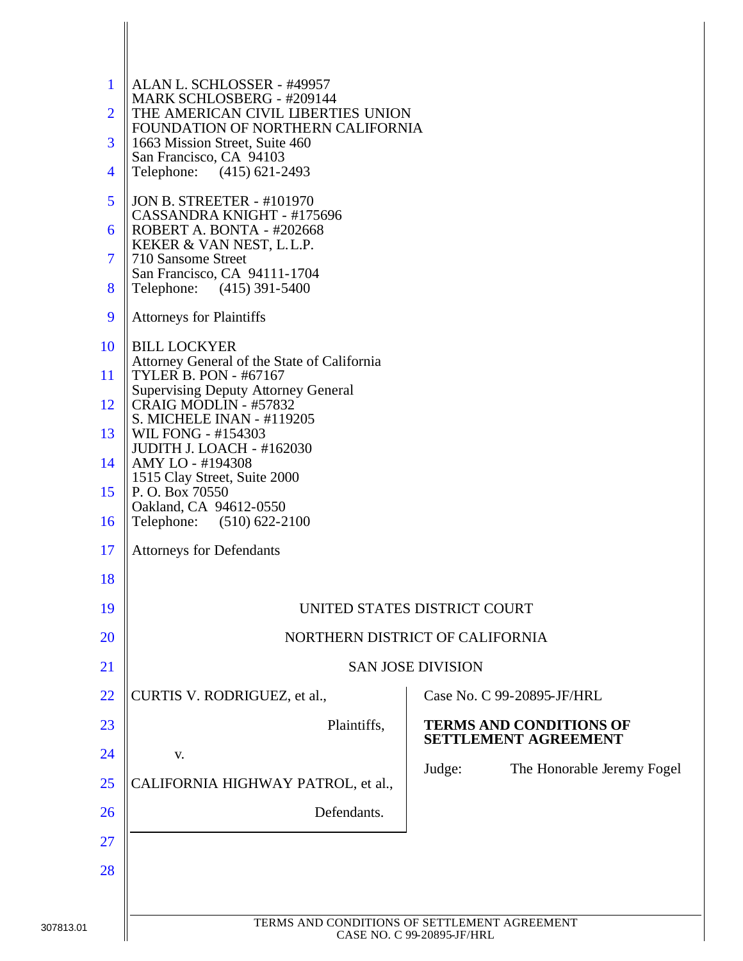| ALAN L. SCHLOSSER - #49957                                              |                                                                                                                                                                                                                                                                                                                                                                                                                                                                                                                                                                                           |  |  |  |  |  |
|-------------------------------------------------------------------------|-------------------------------------------------------------------------------------------------------------------------------------------------------------------------------------------------------------------------------------------------------------------------------------------------------------------------------------------------------------------------------------------------------------------------------------------------------------------------------------------------------------------------------------------------------------------------------------------|--|--|--|--|--|
| THE AMERICAN CIVIL LIBERTIES UNION<br>FOUNDATION OF NORTHERN CALIFORNIA |                                                                                                                                                                                                                                                                                                                                                                                                                                                                                                                                                                                           |  |  |  |  |  |
| 1663 Mission Street, Suite 460                                          |                                                                                                                                                                                                                                                                                                                                                                                                                                                                                                                                                                                           |  |  |  |  |  |
| Telephone: (415) 621-2493                                               |                                                                                                                                                                                                                                                                                                                                                                                                                                                                                                                                                                                           |  |  |  |  |  |
| <b>JON B. STREETER - #101970</b>                                        |                                                                                                                                                                                                                                                                                                                                                                                                                                                                                                                                                                                           |  |  |  |  |  |
| ROBERT A. BONTA - #202668                                               |                                                                                                                                                                                                                                                                                                                                                                                                                                                                                                                                                                                           |  |  |  |  |  |
| 710 Sansome Street                                                      |                                                                                                                                                                                                                                                                                                                                                                                                                                                                                                                                                                                           |  |  |  |  |  |
| Telephone: (415) 391-5400                                               |                                                                                                                                                                                                                                                                                                                                                                                                                                                                                                                                                                                           |  |  |  |  |  |
| <b>Attorneys for Plaintiffs</b>                                         |                                                                                                                                                                                                                                                                                                                                                                                                                                                                                                                                                                                           |  |  |  |  |  |
| <b>BILL LOCKYER</b>                                                     |                                                                                                                                                                                                                                                                                                                                                                                                                                                                                                                                                                                           |  |  |  |  |  |
| <b>TYLER B. PON - #67167</b>                                            |                                                                                                                                                                                                                                                                                                                                                                                                                                                                                                                                                                                           |  |  |  |  |  |
| CRAIG MODLIN - #57832<br>S. MICHELE INAN - #119205                      |                                                                                                                                                                                                                                                                                                                                                                                                                                                                                                                                                                                           |  |  |  |  |  |
| WIL FONG - #154303<br><b>JUDITH J. LOACH - #162030</b>                  |                                                                                                                                                                                                                                                                                                                                                                                                                                                                                                                                                                                           |  |  |  |  |  |
| 1515 Clay Street, Suite 2000                                            |                                                                                                                                                                                                                                                                                                                                                                                                                                                                                                                                                                                           |  |  |  |  |  |
| Oakland, CA 94612-0550                                                  |                                                                                                                                                                                                                                                                                                                                                                                                                                                                                                                                                                                           |  |  |  |  |  |
|                                                                         |                                                                                                                                                                                                                                                                                                                                                                                                                                                                                                                                                                                           |  |  |  |  |  |
|                                                                         |                                                                                                                                                                                                                                                                                                                                                                                                                                                                                                                                                                                           |  |  |  |  |  |
|                                                                         |                                                                                                                                                                                                                                                                                                                                                                                                                                                                                                                                                                                           |  |  |  |  |  |
|                                                                         |                                                                                                                                                                                                                                                                                                                                                                                                                                                                                                                                                                                           |  |  |  |  |  |
|                                                                         |                                                                                                                                                                                                                                                                                                                                                                                                                                                                                                                                                                                           |  |  |  |  |  |
|                                                                         | Case No. C 99-20895-JF/HRL                                                                                                                                                                                                                                                                                                                                                                                                                                                                                                                                                                |  |  |  |  |  |
|                                                                         | <b>TERMS AND CONDITIONS OF</b>                                                                                                                                                                                                                                                                                                                                                                                                                                                                                                                                                            |  |  |  |  |  |
|                                                                         | <b>SETTLEMENT AGREEMENT</b>                                                                                                                                                                                                                                                                                                                                                                                                                                                                                                                                                               |  |  |  |  |  |
|                                                                         | The Honorable Jeremy Fogel<br>Judge:                                                                                                                                                                                                                                                                                                                                                                                                                                                                                                                                                      |  |  |  |  |  |
|                                                                         |                                                                                                                                                                                                                                                                                                                                                                                                                                                                                                                                                                                           |  |  |  |  |  |
|                                                                         |                                                                                                                                                                                                                                                                                                                                                                                                                                                                                                                                                                                           |  |  |  |  |  |
|                                                                         |                                                                                                                                                                                                                                                                                                                                                                                                                                                                                                                                                                                           |  |  |  |  |  |
|                                                                         |                                                                                                                                                                                                                                                                                                                                                                                                                                                                                                                                                                                           |  |  |  |  |  |
|                                                                         | TERMS AND CONDITIONS OF SETTLEMENT AGREEMENT                                                                                                                                                                                                                                                                                                                                                                                                                                                                                                                                              |  |  |  |  |  |
|                                                                         | MARK SCHLOSBERG - #209144<br>San Francisco, CA 94103<br>CASSANDRA KNIGHT - #175696<br>KEKER & VAN NEST, L.L.P.<br>San Francisco, CA 94111-1704<br>Attorney General of the State of California<br><b>Supervising Deputy Attorney General</b><br>AMY LO - #194308<br>P. O. Box 70550<br>Telephone: (510) 622-2100<br><b>Attorneys for Defendants</b><br>UNITED STATES DISTRICT COURT<br>NORTHERN DISTRICT OF CALIFORNIA<br><b>SAN JOSE DIVISION</b><br>CURTIS V. RODRIGUEZ, et al.,<br>Plaintiffs,<br>V.<br>CALIFORNIA HIGHWAY PATROL, et al.,<br>Defendants.<br>CASE NO. C 99-20895-JF/HRL |  |  |  |  |  |

 $\mathbf{I}$  $\overline{\phantom{a}}$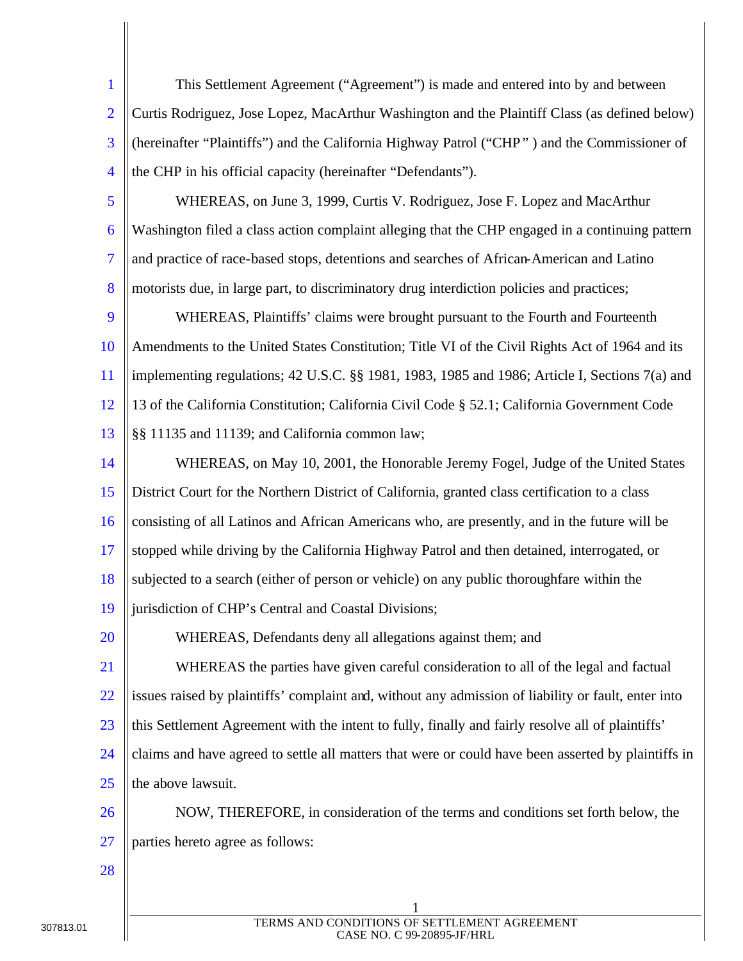| $\mathbf{1}$   | This Settlement Agreement ("Agreement") is made and entered into by and between                     |
|----------------|-----------------------------------------------------------------------------------------------------|
| $\overline{2}$ | Curtis Rodriguez, Jose Lopez, MacArthur Washington and the Plaintiff Class (as defined below)       |
| 3              | (hereinafter "Plaintiffs") and the California Highway Patrol ("CHP") and the Commissioner of        |
| $\overline{4}$ | the CHP in his official capacity (hereinafter "Defendants").                                        |
| 5              | WHEREAS, on June 3, 1999, Curtis V. Rodriguez, Jose F. Lopez and MacArthur                          |
| 6              | Washington filed a class action complaint alleging that the CHP engaged in a continuing pattern     |
| $\overline{7}$ | and practice of race-based stops, detentions and searches of African-American and Latino            |
| 8              | motorists due, in large part, to discriminatory drug interdiction policies and practices;           |
| 9              | WHEREAS, Plaintiffs' claims were brought pursuant to the Fourth and Fourteenth                      |
| <b>10</b>      | Amendments to the United States Constitution; Title VI of the Civil Rights Act of 1964 and its      |
| 11             | implementing regulations; 42 U.S.C. §§ 1981, 1983, 1985 and 1986; Article I, Sections 7(a) and      |
| 12             | 13 of the California Constitution; California Civil Code § 52.1; California Government Code         |
| 13             | §§ 11135 and 11139; and California common law;                                                      |
| 14             | WHEREAS, on May 10, 2001, the Honorable Jeremy Fogel, Judge of the United States                    |
| 15             | District Court for the Northern District of California, granted class certification to a class      |
| 16             | consisting of all Latinos and African Americans who, are presently, and in the future will be       |
| 17             | stopped while driving by the California Highway Patrol and then detained, interrogated, or          |
| 18             | subjected to a search (either of person or vehicle) on any public thoroughfare within the           |
| 19             | jurisdiction of CHP's Central and Coastal Divisions;                                                |
| 20             | WHEREAS, Defendants deny all allegations against them; and                                          |
| 21             | WHEREAS the parties have given careful consideration to all of the legal and factual                |
| <u>22</u>      | issues raised by plaintiffs' complaint and, without any admission of liability or fault, enter into |
| 23             | this Settlement Agreement with the intent to fully, finally and fairly resolve all of plaintiffs'   |
| 24             | claims and have agreed to settle all matters that were or could have been asserted by plaintiffs in |
| 25             | the above lawsuit.                                                                                  |
| 26             | NOW, THEREFORE, in consideration of the terms and conditions set forth below, the                   |
| 27             | parties hereto agree as follows:                                                                    |
| 28             |                                                                                                     |
|                |                                                                                                     |

 $\overline{\phantom{a}}$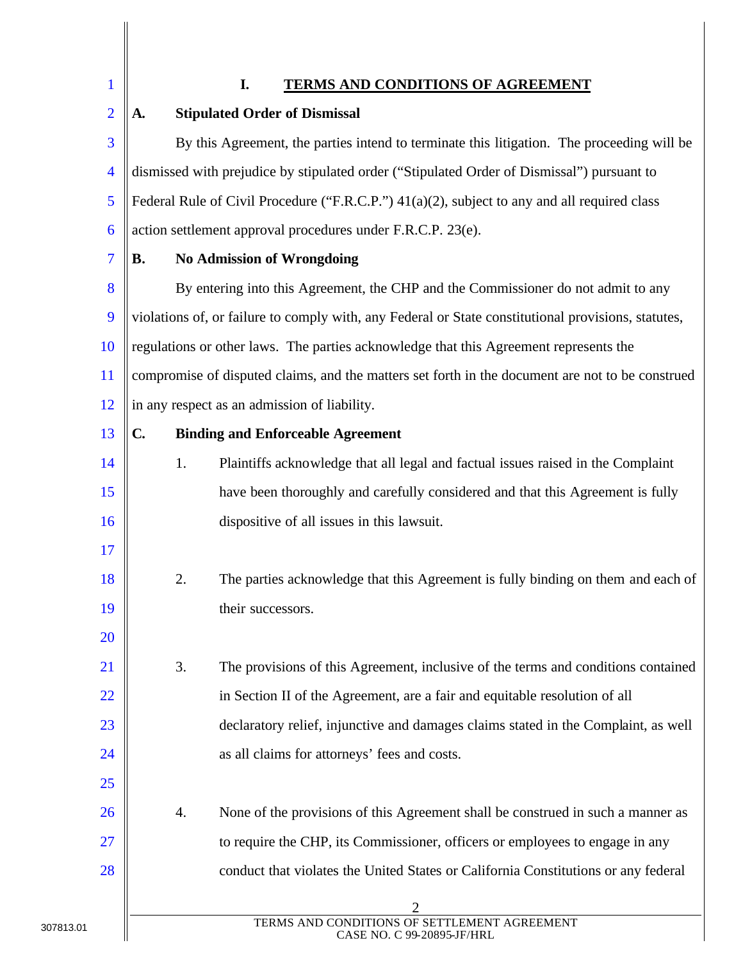1

# **I. TERMS AND CONDITIONS OF AGREEMENT**

| $\overline{2}$ | A.                                                                                         | <b>Stipulated Order of Dismissal</b>                                                                |  |  |
|----------------|--------------------------------------------------------------------------------------------|-----------------------------------------------------------------------------------------------------|--|--|
| 3              | By this Agreement, the parties intend to terminate this litigation. The proceeding will be |                                                                                                     |  |  |
| $\overline{4}$ |                                                                                            | dismissed with prejudice by stipulated order ("Stipulated Order of Dismissal") pursuant to          |  |  |
| 5              |                                                                                            | Federal Rule of Civil Procedure ("F.R.C.P.") 41(a)(2), subject to any and all required class        |  |  |
| 6              |                                                                                            | action settlement approval procedures under F.R.C.P. 23(e).                                         |  |  |
| $\overline{7}$ | В.                                                                                         | <b>No Admission of Wrongdoing</b>                                                                   |  |  |
| 8              |                                                                                            | By entering into this Agreement, the CHP and the Commissioner do not admit to any                   |  |  |
| 9              |                                                                                            | violations of, or failure to comply with, any Federal or State constitutional provisions, statutes, |  |  |
| 10             |                                                                                            | regulations or other laws. The parties acknowledge that this Agreement represents the               |  |  |
| 11             |                                                                                            | compromise of disputed claims, and the matters set forth in the document are not to be construed    |  |  |
| <sup>12</sup>  |                                                                                            | in any respect as an admission of liability.                                                        |  |  |
| 13             | $\mathbf{C}$                                                                               | <b>Binding and Enforceable Agreement</b>                                                            |  |  |
| 14             | 1.                                                                                         | Plaintiffs acknowledge that all legal and factual issues raised in the Complaint                    |  |  |
| 15             |                                                                                            | have been thoroughly and carefully considered and that this Agreement is fully                      |  |  |
| 16             |                                                                                            | dispositive of all issues in this lawsuit.                                                          |  |  |
| <b>17</b>      |                                                                                            |                                                                                                     |  |  |
| 18             | 2.                                                                                         | The parties acknowledge that this Agreement is fully binding on them and each of                    |  |  |
| 19             |                                                                                            | their successors.                                                                                   |  |  |
| 20             |                                                                                            |                                                                                                     |  |  |
| 21             | 3.                                                                                         | The provisions of this Agreement, inclusive of the terms and conditions contained                   |  |  |
| <u>22</u>      |                                                                                            | in Section II of the Agreement, are a fair and equitable resolution of all                          |  |  |
| 23             |                                                                                            | declaratory relief, injunctive and damages claims stated in the Complaint, as well                  |  |  |
| 24             |                                                                                            | as all claims for attorneys' fees and costs.                                                        |  |  |
| <u>25</u>      |                                                                                            |                                                                                                     |  |  |
| 26             | 4.                                                                                         | None of the provisions of this Agreement shall be construed in such a manner as                     |  |  |
| <u>27</u>      |                                                                                            | to require the CHP, its Commissioner, officers or employees to engage in any                        |  |  |
| 28             |                                                                                            | conduct that violates the United States or California Constitutions or any federal                  |  |  |
|                |                                                                                            |                                                                                                     |  |  |
|                |                                                                                            | TERMS AND CONDITIONS OF SETTLEMENT AGREEMENT<br>CASE NO. C 99-20895-JF/HRL                          |  |  |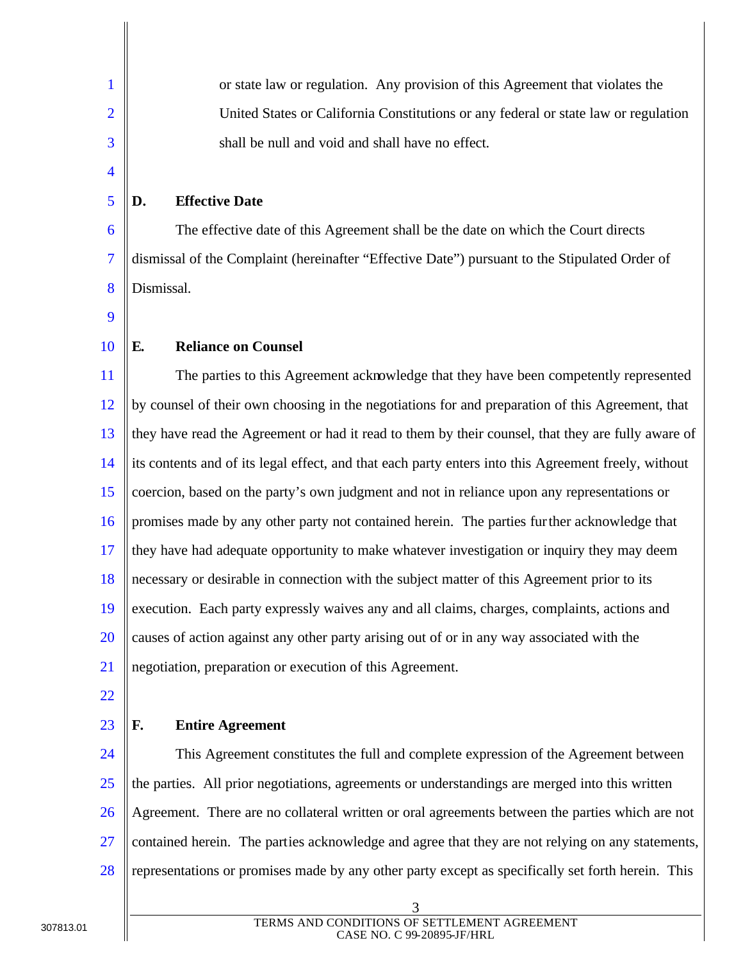| $\mathbf{1}$             | or state law or regulation. Any provision of this Agreement that violates the                        |
|--------------------------|------------------------------------------------------------------------------------------------------|
| $\overline{2}$           | United States or California Constitutions or any federal or state law or regulation                  |
| 3                        | shall be null and void and shall have no effect.                                                     |
| $\overline{4}$           |                                                                                                      |
| 5                        | <b>Effective Date</b><br>D.                                                                          |
| 6                        | The effective date of this Agreement shall be the date on which the Court directs                    |
| $\overline{\mathcal{I}}$ | dismissal of the Complaint (hereinafter "Effective Date") pursuant to the Stipulated Order of        |
| 8                        | Dismissal.                                                                                           |
| 9                        |                                                                                                      |
| 10                       | <b>Reliance on Counsel</b><br>E.                                                                     |
| 11                       | The parties to this Agreement acknowledge that they have been competently represented                |
| 12                       | by counsel of their own choosing in the negotiations for and preparation of this Agreement, that     |
| 13                       | they have read the Agreement or had it read to them by their counsel, that they are fully aware of   |
| 14                       | its contents and of its legal effect, and that each party enters into this Agreement freely, without |
| 15                       | coercion, based on the party's own judgment and not in reliance upon any representations or          |
| 16                       | promises made by any other party not contained herein. The parties further acknowledge that          |
| 17                       | they have had adequate opportunity to make whatever investigation or inquiry they may deem           |
| 18                       | necessary or desirable in connection with the subject matter of this Agreement prior to its          |
| 19                       | execution. Each party expressly waives any and all claims, charges, complaints, actions and          |
| 20                       | causes of action against any other party arising out of or in any way associated with the            |
| 21                       | negotiation, preparation or execution of this Agreement.                                             |
| 22                       |                                                                                                      |
| 23                       | <b>Entire Agreement</b><br>F.                                                                        |
| 24                       | This Agreement constitutes the full and complete expression of the Agreement between                 |
| 25                       | the parties. All prior negotiations, agreements or understandings are merged into this written       |
| 26                       | Agreement. There are no collateral written or oral agreements between the parties which are not      |
| 27                       | contained herein. The parties acknowledge and agree that they are not relying on any statements,     |
| 28                       | representations or promises made by any other party except as specifically set forth herein. This    |
|                          | 3                                                                                                    |

 $\parallel$ 

Π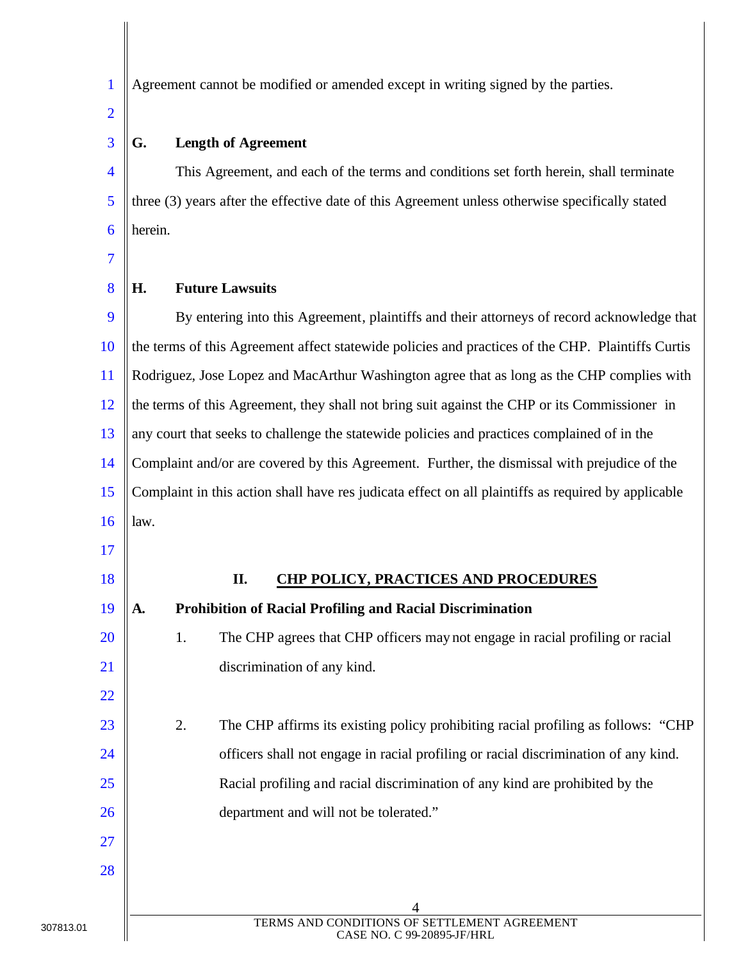1 2 3 4 5 6 7 8 Agreement cannot be modified or amended except in writing signed by the parties. **G. Length of Agreement** This Agreement, and each of the terms and conditions set forth herein, shall terminate three (3) years after the effective date of this Agreement unless otherwise specifically stated herein. **H. Future Lawsuits**

9 10 11 12 13 14 15 16 By entering into this Agreement, plaintiffs and their attorneys of record acknowledge that the terms of this Agreement affect statewide policies and practices of the CHP. Plaintiffs Curtis Rodriguez, Jose Lopez and MacArthur Washington agree that as long as the CHP complies with the terms of this Agreement, they shall not bring suit against the CHP or its Commissioner in any court that seeks to challenge the statewide policies and practices complained of in the Complaint and/or are covered by this Agreement. Further, the dismissal with prejudice of the Complaint in this action shall have res judicata effect on all plaintiffs as required by applicable law.

17

## 18

19

20

21

22

23

24

25

26

27

### **II. CHP POLICY, PRACTICES AND PROCEDURES**

1. The CHP agrees that CHP officers may not engage in racial profiling or racial discrimination of any kind.

**A. Prohibition of Racial Profiling and Racial Discrimination**

2. The CHP affirms its existing policy prohibiting racial profiling as follows: "CHP officers shall not engage in racial profiling or racial discrimination of any kind. Racial profiling and racial discrimination of any kind are prohibited by the department and will not be tolerated."

28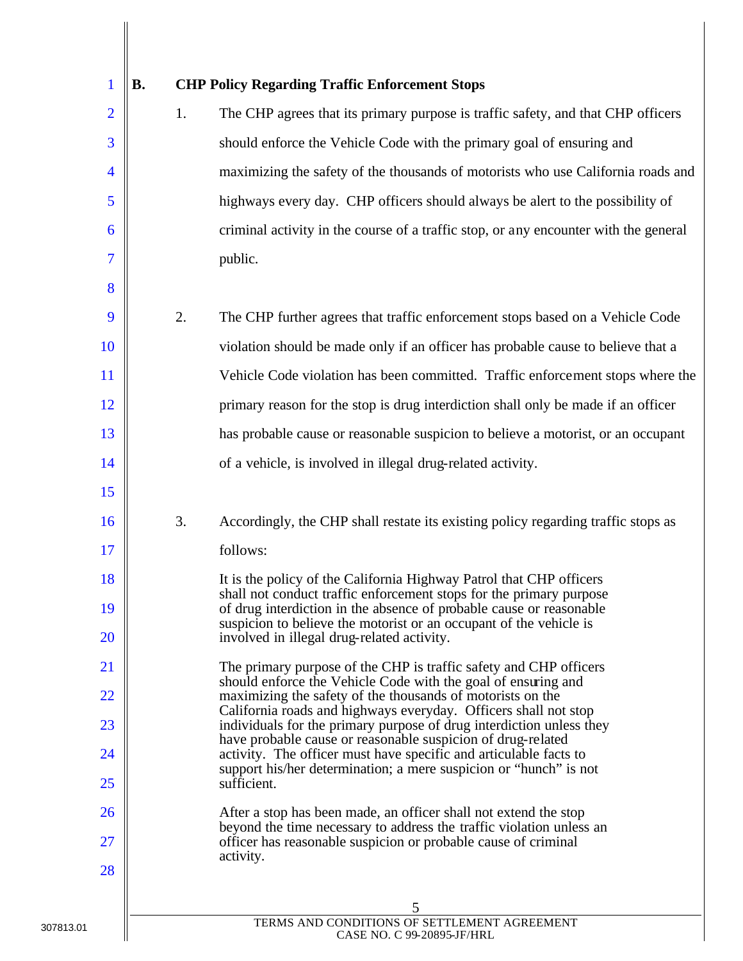| 1              | <b>B.</b> |    | <b>CHP Policy Regarding Traffic Enforcement Stops</b>                                                                                      |
|----------------|-----------|----|--------------------------------------------------------------------------------------------------------------------------------------------|
| $\overline{2}$ |           | 1. | The CHP agrees that its primary purpose is traffic safety, and that CHP officers                                                           |
| 3              |           |    | should enforce the Vehicle Code with the primary goal of ensuring and                                                                      |
| 4              |           |    | maximizing the safety of the thousands of motorists who use California roads and                                                           |
| 5              |           |    | highways every day. CHP officers should always be alert to the possibility of                                                              |
| 6              |           |    | criminal activity in the course of a traffic stop, or any encounter with the general                                                       |
| 7              |           |    | public.                                                                                                                                    |
| 8              |           |    |                                                                                                                                            |
| 9              |           | 2. | The CHP further agrees that traffic enforcement stops based on a Vehicle Code                                                              |
| <b>10</b>      |           |    | violation should be made only if an officer has probable cause to believe that a                                                           |
| 11             |           |    | Vehicle Code violation has been committed. Traffic enforcement stops where the                                                             |
| <sup>12</sup>  |           |    | primary reason for the stop is drug interdiction shall only be made if an officer                                                          |
| 13             |           |    | has probable cause or reasonable suspicion to believe a motorist, or an occupant                                                           |
| 14             |           |    | of a vehicle, is involved in illegal drug-related activity.                                                                                |
| 15             |           |    |                                                                                                                                            |
| <b>16</b>      |           | 3. | Accordingly, the CHP shall restate its existing policy regarding traffic stops as                                                          |
| 17             |           |    | follows:                                                                                                                                   |
| 18             |           |    | It is the policy of the California Highway Patrol that CHP officers                                                                        |
| 19             |           |    | shall not conduct traffic enforcement stops for the primary purpose<br>of drug interdiction in the absence of probable cause or reasonable |
| <b>20</b>      |           |    | suspicion to believe the motorist or an occupant of the vehicle is<br>involved in illegal drug-related activity.                           |
| 21             |           |    | The primary purpose of the CHP is traffic safety and CHP officers                                                                          |
| 22             |           |    | should enforce the Vehicle Code with the goal of ensuring and<br>maximizing the safety of the thousands of motorists on the                |
| 23             |           |    | California roads and highways everyday. Officers shall not stop<br>individuals for the primary purpose of drug interdiction unless they    |
| 24             |           |    | have probable cause or reasonable suspicion of drug-related<br>activity. The officer must have specific and articulable facts to           |
| 25             |           |    | support his/her determination; a mere suspicion or "hunch" is not<br>sufficient.                                                           |
| 26             |           |    | After a stop has been made, an officer shall not extend the stop                                                                           |
| 27             |           |    | beyond the time necessary to address the traffic violation unless an<br>officer has reasonable suspicion or probable cause of criminal     |
| 28             |           |    | activity.                                                                                                                                  |
|                |           |    | 5                                                                                                                                          |
|                |           |    | TERMS AND CONDITIONS OF SETTLEMENT AGREEMENT<br>CASE NO. C 99-20895-JF/HRL                                                                 |

 $\overline{\mathsf{I}}$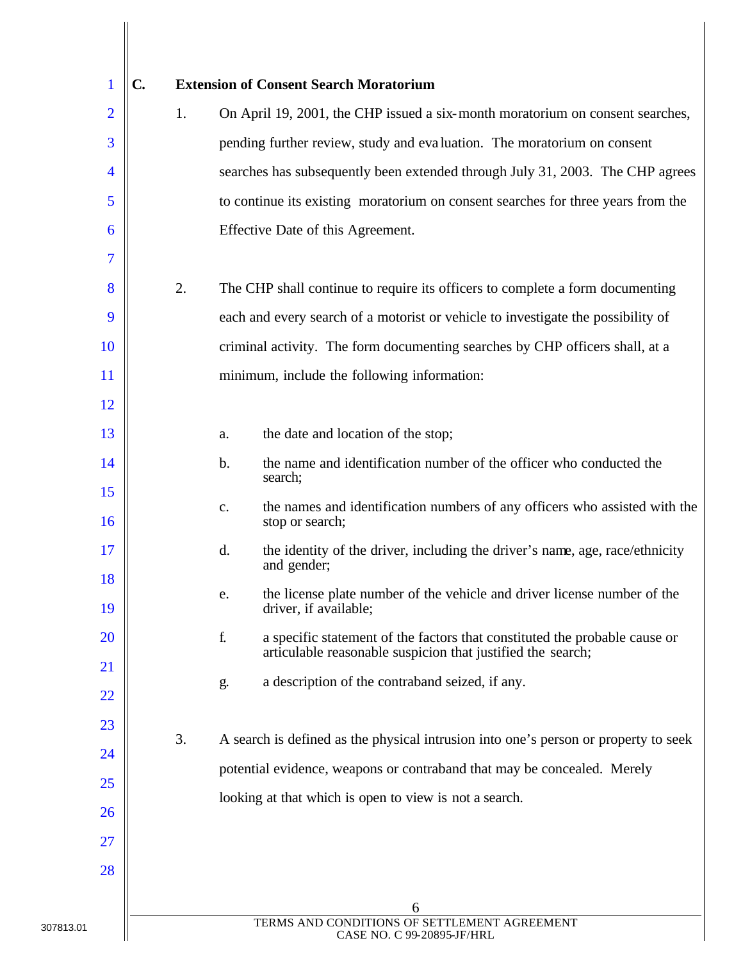|                | $\mathbf{C}$ |    | <b>Extension of Consent Search Moratorium</b>                                                                                                   |
|----------------|--------------|----|-------------------------------------------------------------------------------------------------------------------------------------------------|
| $\overline{2}$ |              | 1. | On April 19, 2001, the CHP issued a six-month moratorium on consent searches,                                                                   |
| 3              |              |    | pending further review, study and evaluation. The moratorium on consent                                                                         |
| $\overline{4}$ |              |    | searches has subsequently been extended through July 31, 2003. The CHP agrees                                                                   |
| 5              |              |    | to continue its existing moratorium on consent searches for three years from the                                                                |
| 6              |              |    | Effective Date of this Agreement.                                                                                                               |
| 7              |              |    |                                                                                                                                                 |
| 8              |              | 2. | The CHP shall continue to require its officers to complete a form documenting                                                                   |
| 9              |              |    | each and every search of a motorist or vehicle to investigate the possibility of                                                                |
| <b>10</b>      |              |    | criminal activity. The form documenting searches by CHP officers shall, at a                                                                    |
| <sup>11</sup>  |              |    | minimum, include the following information:                                                                                                     |
| <sup>12</sup>  |              |    |                                                                                                                                                 |
| 13             |              |    | the date and location of the stop;<br>a.                                                                                                        |
| 14             |              |    | the name and identification number of the officer who conducted the<br>$\mathbf b$ .<br>search;                                                 |
| 15             |              |    | the names and identification numbers of any officers who assisted with the<br>$\mathbf{C}$ .                                                    |
| <b>16</b>      |              |    | stop or search;                                                                                                                                 |
| 17             |              |    | d.<br>the identity of the driver, including the driver's name, age, race/ethnicity<br>and gender;                                               |
| 18<br>19       |              |    | the license plate number of the vehicle and driver license number of the<br>e.<br>driver, if available;                                         |
| <b>20</b>      |              |    | f.<br>a specific statement of the factors that constituted the probable cause or<br>articulable reasonable suspicion that justified the search; |
| <b>21</b>      |              |    | a description of the contraband seized, if any.<br>g.                                                                                           |
| 22             |              |    |                                                                                                                                                 |
| 23             |              | 3. | A search is defined as the physical intrusion into one's person or property to seek                                                             |
| 24             |              |    | potential evidence, weapons or contraband that may be concealed. Merely                                                                         |
| 25             |              |    | looking at that which is open to view is not a search.                                                                                          |
| 26             |              |    |                                                                                                                                                 |
| <b>27</b>      |              |    |                                                                                                                                                 |
| 28             |              |    |                                                                                                                                                 |
|                |              |    | 6                                                                                                                                               |
|                |              |    | TERMS AND CONDITIONS OF SETTLEMENT AGREEMENT<br>CASE NO. C 99-20895-JF/HRL                                                                      |

 $\mathbf{I}$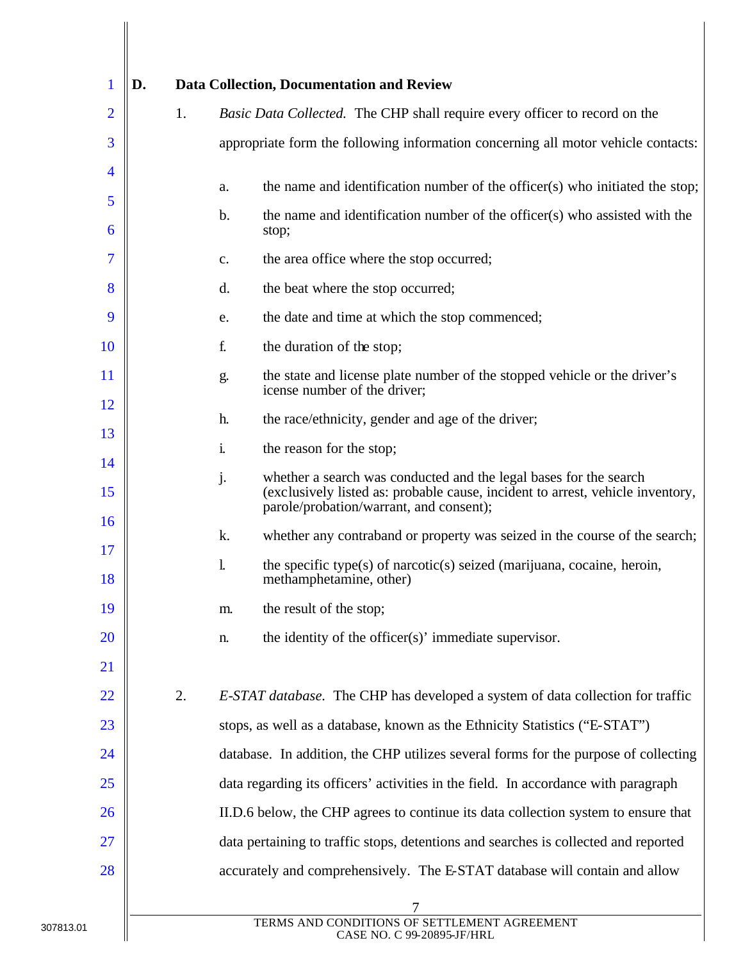| 1                        | D. |    | <b>Data Collection, Documentation and Review</b>                                                                                                                                                     |
|--------------------------|----|----|------------------------------------------------------------------------------------------------------------------------------------------------------------------------------------------------------|
| $\overline{2}$           |    | 1. | Basic Data Collected. The CHP shall require every officer to record on the                                                                                                                           |
| 3                        |    |    | appropriate form the following information concerning all motor vehicle contacts:                                                                                                                    |
| $\overline{\mathcal{A}}$ |    |    | the name and identification number of the officer(s) who initiated the stop;<br>a.                                                                                                                   |
| 5<br>6                   |    |    | the name and identification number of the officer(s) who assisted with the<br>b.<br>stop;                                                                                                            |
| 7                        |    |    | the area office where the stop occurred;<br>c.                                                                                                                                                       |
| 8                        |    |    | d.<br>the beat where the stop occurred;                                                                                                                                                              |
| 9                        |    |    | the date and time at which the stop commenced;<br>e.                                                                                                                                                 |
| <b>10</b>                |    |    | f.<br>the duration of the stop;                                                                                                                                                                      |
| <sup>11</sup>            |    |    | the state and license plate number of the stopped vehicle or the driver's<br>g.<br>icense number of the driver;                                                                                      |
| 12                       |    |    | h.<br>the race/ethnicity, gender and age of the driver;                                                                                                                                              |
| 13                       |    |    | the reason for the stop;<br>i.                                                                                                                                                                       |
| 14<br>15                 |    |    | whether a search was conducted and the legal bases for the search<br>j.<br>(exclusively listed as: probable cause, incident to arrest, vehicle inventory,<br>parole/probation/warrant, and consent); |
| <b>16</b>                |    |    | k.<br>whether any contraband or property was seized in the course of the search;                                                                                                                     |
| 17                       |    |    | $\mathbf{1}$<br>the specific type(s) of narcotic(s) seized (marijuana, cocaine, heroin,                                                                                                              |
| 18                       |    |    | methamphetamine, other)                                                                                                                                                                              |
| 19                       |    |    | the result of the stop;<br>m.                                                                                                                                                                        |
| 20                       |    |    | the identity of the officer(s)' immediate supervisor.<br>n.                                                                                                                                          |
| <u>21</u>                |    |    |                                                                                                                                                                                                      |
| 22                       |    | 2. | <i>E-STAT database.</i> The CHP has developed a system of data collection for traffic                                                                                                                |
| 23                       |    |    | stops, as well as a database, known as the Ethnicity Statistics ("E-STAT")                                                                                                                           |
| 24                       |    |    | database. In addition, the CHP utilizes several forms for the purpose of collecting                                                                                                                  |
| 25                       |    |    | data regarding its officers' activities in the field. In accordance with paragraph                                                                                                                   |
| 26                       |    |    | II.D.6 below, the CHP agrees to continue its data collection system to ensure that                                                                                                                   |
| 27                       |    |    | data pertaining to traffic stops, detentions and searches is collected and reported                                                                                                                  |
| 28                       |    |    | accurately and comprehensively. The E-STAT database will contain and allow                                                                                                                           |
|                          |    |    |                                                                                                                                                                                                      |
|                          |    |    | TERMS AND CONDITIONS OF SETTLEMENT AGREEMENT<br>CASE NO. C 99-20895-JF/HRL                                                                                                                           |

 $\mathbf{I}$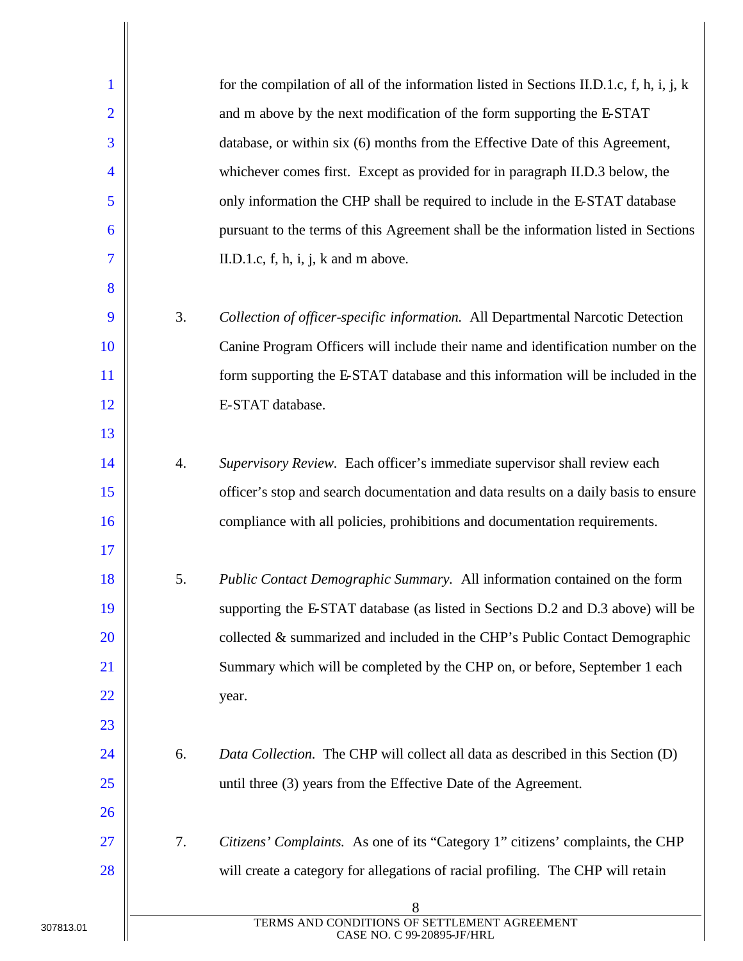| $\mathbf{1}$             |    | for the compilation of all of the information listed in Sections II.D.1.c, f, h, i, j, k |
|--------------------------|----|------------------------------------------------------------------------------------------|
| $\overline{2}$           |    | and m above by the next modification of the form supporting the E-STAT                   |
| 3                        |    | database, or within six (6) months from the Effective Date of this Agreement,            |
| $\overline{\mathcal{A}}$ |    | whichever comes first. Except as provided for in paragraph II.D.3 below, the             |
| 5                        |    | only information the CHP shall be required to include in the E-STAT database             |
| 6                        |    | pursuant to the terms of this Agreement shall be the information listed in Sections      |
| $\overline{7}$           |    | II.D.1.c, $f$ , $h$ , $i$ , $j$ , $k$ and $m$ above.                                     |
| 8                        |    |                                                                                          |
| 9                        | 3. | Collection of officer-specific information. All Departmental Narcotic Detection          |
| 10                       |    | Canine Program Officers will include their name and identification number on the         |
| 11                       |    | form supporting the E-STAT database and this information will be included in the         |
| 12                       |    | E-STAT database.                                                                         |
| 13                       |    |                                                                                          |
| 14                       | 4. | Supervisory Review. Each officer's immediate supervisor shall review each                |
| 15                       |    | officer's stop and search documentation and data results on a daily basis to ensure      |
| 16                       |    | compliance with all policies, prohibitions and documentation requirements.               |
| 17                       |    |                                                                                          |
| 18                       | 5. | Public Contact Demographic Summary. All information contained on the form                |
| 19                       |    | supporting the E-STAT database (as listed in Sections D.2 and D.3 above) will be         |
| 20                       |    | collected $\&$ summarized and included in the CHP's Public Contact Demographic           |
| <u>21</u>                |    | Summary which will be completed by the CHP on, or before, September 1 each               |
| <u>22</u>                |    | year.                                                                                    |
| 23                       |    |                                                                                          |
| 24                       | 6. | Data Collection. The CHP will collect all data as described in this Section (D)          |
| 25                       |    | until three (3) years from the Effective Date of the Agreement.                          |
| 26                       |    |                                                                                          |
| <b>27</b>                | 7. | Citizens' Complaints. As one of its "Category 1" citizens' complaints, the CHP           |
| 28                       |    | will create a category for allegations of racial profiling. The CHP will retain          |
|                          |    | 8                                                                                        |
|                          |    | TERMS AND CONDITIONS OF SETTLEMENT AGREEMENT<br>CASE NO. C 99-20895-JF/HRL               |

 $\overline{\phantom{a}}$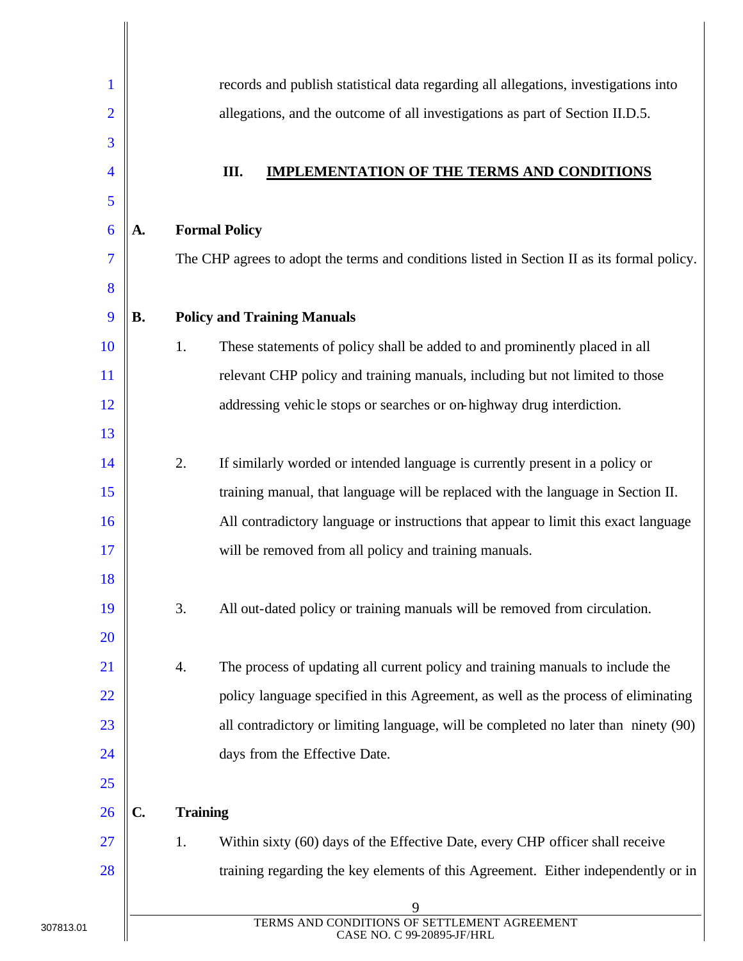|    |    | records and publish statistical data regarding all allegations, investigations into         |
|----|----|---------------------------------------------------------------------------------------------|
| 2  |    | allegations, and the outcome of all investigations as part of Section II.D.5.               |
| 3  |    |                                                                                             |
| 4  |    | Ш.<br><b>IMPLEMENTATION OF THE TERMS AND CONDITIONS</b>                                     |
| 5  |    |                                                                                             |
| 6  | A. | <b>Formal Policy</b>                                                                        |
| 7  |    | The CHP agrees to adopt the terms and conditions listed in Section II as its formal policy. |
| 8  |    |                                                                                             |
| 9  | В. | <b>Policy and Training Manuals</b>                                                          |
| 10 |    | 1.<br>These statements of policy shall be added to and prominently placed in all            |
| 11 |    | relevant CHP policy and training manuals, including but not limited to those                |
| 12 |    | addressing vehicle stops or searches or on-highway drug interdiction.                       |
| 13 |    |                                                                                             |
| 14 |    | 2.<br>If similarly worded or intended language is currently present in a policy or          |
| 15 |    | training manual, that language will be replaced with the language in Section II.            |
| 16 |    | All contradictory language or instructions that appear to limit this exact language         |
| 17 |    | will be removed from all policy and training manuals.                                       |
| 18 |    |                                                                                             |
| 19 |    | 3.<br>All out-dated policy or training manuals will be removed from circulation.            |
| 20 |    |                                                                                             |
| 21 |    | The process of updating all current policy and training manuals to include the<br>4.        |
| 22 |    | policy language specified in this Agreement, as well as the process of eliminating          |
| 23 |    | all contradictory or limiting language, will be completed no later than ninety (90)         |
| 24 |    | days from the Effective Date.                                                               |
| 25 |    |                                                                                             |
| 26 | C. | <b>Training</b>                                                                             |
| 27 |    | Within sixty (60) days of the Effective Date, every CHP officer shall receive<br>1.         |
| 28 |    | training regarding the key elements of this Agreement. Either independently or in           |
|    |    | 9                                                                                           |
|    |    | TERMS AND CONDITIONS OF SETTLEMENT AGREEMENT<br>CASE NO. C 99-20895-JF/HRL                  |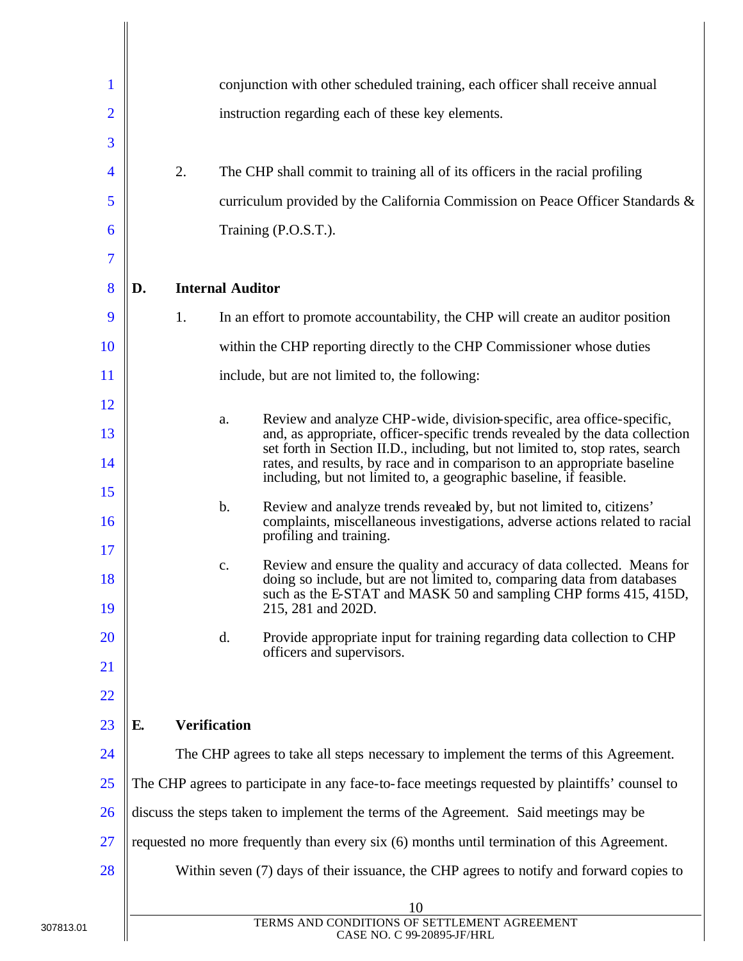| $\mathbf{1}$   |    |                         | conjunction with other scheduled training, each officer shall receive annual                                                                                                                                                                 |
|----------------|----|-------------------------|----------------------------------------------------------------------------------------------------------------------------------------------------------------------------------------------------------------------------------------------|
| $\overline{2}$ |    |                         | instruction regarding each of these key elements.                                                                                                                                                                                            |
| 3              |    |                         |                                                                                                                                                                                                                                              |
| $\overline{4}$ | 2. |                         | The CHP shall commit to training all of its officers in the racial profiling                                                                                                                                                                 |
| 5              |    |                         | curriculum provided by the California Commission on Peace Officer Standards &                                                                                                                                                                |
| 6              |    |                         | Training (P.O.S.T.).                                                                                                                                                                                                                         |
| 7              |    |                         |                                                                                                                                                                                                                                              |
| 8              | D. | <b>Internal Auditor</b> |                                                                                                                                                                                                                                              |
| 9              | 1. |                         | In an effort to promote accountability, the CHP will create an auditor position                                                                                                                                                              |
| 10             |    |                         | within the CHP reporting directly to the CHP Commissioner whose duties                                                                                                                                                                       |
| 11             |    |                         | include, but are not limited to, the following:                                                                                                                                                                                              |
| 12             |    |                         | Review and analyze CHP-wide, division-specific, area office-specific,                                                                                                                                                                        |
| 13             |    | a.                      | and, as appropriate, officer-specific trends revealed by the data collection                                                                                                                                                                 |
| 14             |    |                         | set forth in Section II.D., including, but not limited to, stop rates, search<br>rates, and results, by race and in comparison to an appropriate baseline                                                                                    |
| 15             |    |                         | including, but not limited to, a geographic baseline, if feasible.                                                                                                                                                                           |
| 16             |    | $\mathbf b$ .           | Review and analyze trends revealed by, but not limited to, citizens'<br>complaints, miscellaneous investigations, adverse actions related to racial<br>profiling and training.                                                               |
| 17<br>18<br>19 |    | c.                      | Review and ensure the quality and accuracy of data collected. Means for<br>doing so include, but are not limited to, comparing data from databases<br>such as the E-STAT and MASK 50 and sampling CHP forms 415, 415D,<br>215, 281 and 202D. |
| 20             |    | d.                      | Provide appropriate input for training regarding data collection to CHP                                                                                                                                                                      |
| 21             |    |                         | officers and supervisors.                                                                                                                                                                                                                    |
| 22             |    |                         |                                                                                                                                                                                                                                              |
| 23             | E. | <b>Verification</b>     |                                                                                                                                                                                                                                              |
| 24             |    |                         | The CHP agrees to take all steps necessary to implement the terms of this Agreement.                                                                                                                                                         |
| 25             |    |                         | The CHP agrees to participate in any face-to-face meetings requested by plaintiffs' counsel to                                                                                                                                               |
| 26             |    |                         | discuss the steps taken to implement the terms of the Agreement. Said meetings may be                                                                                                                                                        |
| 27             |    |                         | requested no more frequently than every six (6) months until termination of this Agreement.                                                                                                                                                  |
| 28             |    |                         | Within seven (7) days of their issuance, the CHP agrees to notify and forward copies to                                                                                                                                                      |
|                |    |                         | 10                                                                                                                                                                                                                                           |
|                |    |                         | TERMS AND CONDITIONS OF SETTLEMENT AGREEMENT<br>CASE NO. C 99-20895-JF/HRL                                                                                                                                                                   |

 $\bigg\|$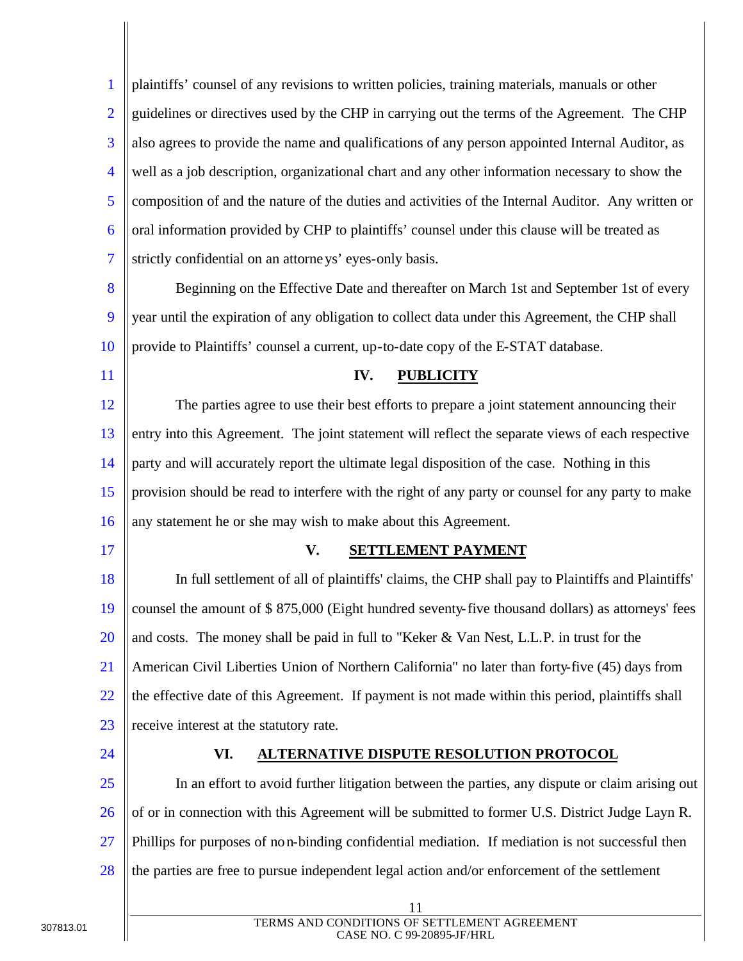1 2 3 4 5 6 7 plaintiffs' counsel of any revisions to written policies, training materials, manuals or other guidelines or directives used by the CHP in carrying out the terms of the Agreement. The CHP also agrees to provide the name and qualifications of any person appointed Internal Auditor, as well as a job description, organizational chart and any other information necessary to show the composition of and the nature of the duties and activities of the Internal Auditor. Any written or oral information provided by CHP to plaintiffs' counsel under this clause will be treated as strictly confidential on an attorneys' eyes-only basis.

- 8 9 10 Beginning on the Effective Date and thereafter on March 1st and September 1st of every year until the expiration of any obligation to collect data under this Agreement, the CHP shall provide to Plaintiffs' counsel a current, up-to-date copy of the E-STAT database.
- 11

#### **IV. PUBLICITY**

12 13 14 15 16 The parties agree to use their best efforts to prepare a joint statement announcing their entry into this Agreement. The joint statement will reflect the separate views of each respective party and will accurately report the ultimate legal disposition of the case. Nothing in this provision should be read to interfere with the right of any party or counsel for any party to make any statement he or she may wish to make about this Agreement.

17

#### **V. SETTLEMENT PAYMENT**

18 19 20 21 22 23 In full settlement of all of plaintiffs' claims, the CHP shall pay to Plaintiffs and Plaintiffs' counsel the amount of \$ 875,000 (Eight hundred seventy-five thousand dollars) as attorneys' fees and costs. The money shall be paid in full to "Keker & Van Nest, L.L.P. in trust for the American Civil Liberties Union of Northern California" no later than forty-five (45) days from the effective date of this Agreement. If payment is not made within this period, plaintiffs shall receive interest at the statutory rate.

24

#### **VI. ALTERNATIVE DISPUTE RESOLUTION PROTOCOL**

25 26 27 28 In an effort to avoid further litigation between the parties, any dispute or claim arising out of or in connection with this Agreement will be submitted to former U.S. District Judge Layn R. Phillips for purposes of non-binding confidential mediation. If mediation is not successful then the parties are free to pursue independent legal action and/or enforcement of the settlement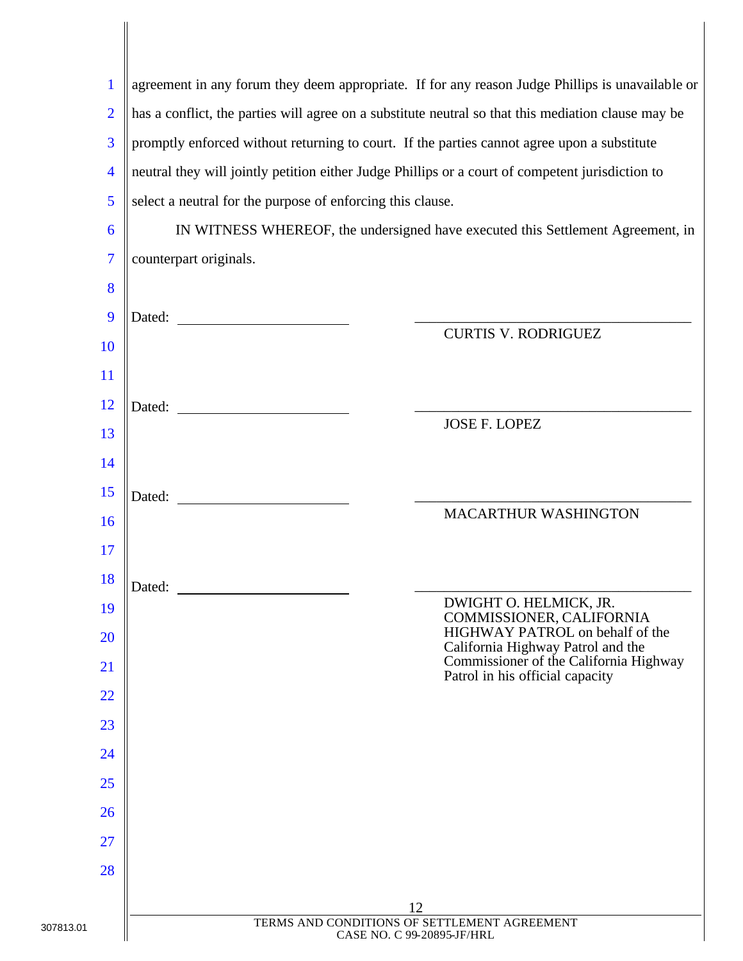| 1              | agreement in any forum they deem appropriate. If for any reason Judge Phillips is unavailable or    |  |  |  |  |
|----------------|-----------------------------------------------------------------------------------------------------|--|--|--|--|
| $\overline{2}$ | has a conflict, the parties will agree on a substitute neutral so that this mediation clause may be |  |  |  |  |
| 3              | promptly enforced without returning to court. If the parties cannot agree upon a substitute         |  |  |  |  |
| $\overline{4}$ | neutral they will jointly petition either Judge Phillips or a court of competent jurisdiction to    |  |  |  |  |
| 5              | select a neutral for the purpose of enforcing this clause.                                          |  |  |  |  |
| 6              | IN WITNESS WHEREOF, the undersigned have executed this Settlement Agreement, in                     |  |  |  |  |
| $\overline{7}$ | counterpart originals.                                                                              |  |  |  |  |
| 8              |                                                                                                     |  |  |  |  |
| 9              | <b>CURTIS V. RODRIGUEZ</b>                                                                          |  |  |  |  |
| 10             |                                                                                                     |  |  |  |  |
| 11             |                                                                                                     |  |  |  |  |
| 12             | Dated:<br><b>JOSE F. LOPEZ</b>                                                                      |  |  |  |  |
| 13             |                                                                                                     |  |  |  |  |
| 14             |                                                                                                     |  |  |  |  |
| 15             | Dated:<br>MACARTHUR WASHINGTON                                                                      |  |  |  |  |
| 16             |                                                                                                     |  |  |  |  |
| 17             |                                                                                                     |  |  |  |  |
| 18             | Dated:<br>DWIGHT O. HELMICK, JR.                                                                    |  |  |  |  |
| 19             | COMMISSIONER, CALIFORNIA<br>HIGHWAY PATROL on behalf of the                                         |  |  |  |  |
| 20<br>21       | California Highway Patrol and the<br>Commissioner of the California Highway                         |  |  |  |  |
| 22             | Patrol in his official capacity                                                                     |  |  |  |  |
| 23             |                                                                                                     |  |  |  |  |
| 24             |                                                                                                     |  |  |  |  |
| 25             |                                                                                                     |  |  |  |  |
| 26             |                                                                                                     |  |  |  |  |
| 27             |                                                                                                     |  |  |  |  |
| 28             |                                                                                                     |  |  |  |  |
|                |                                                                                                     |  |  |  |  |
|                | 12<br>TERMS AND CONDITIONS OF SETTLEMENT AGREEMENT                                                  |  |  |  |  |
|                | CASE NO. C 99-20895-JF/HRL                                                                          |  |  |  |  |